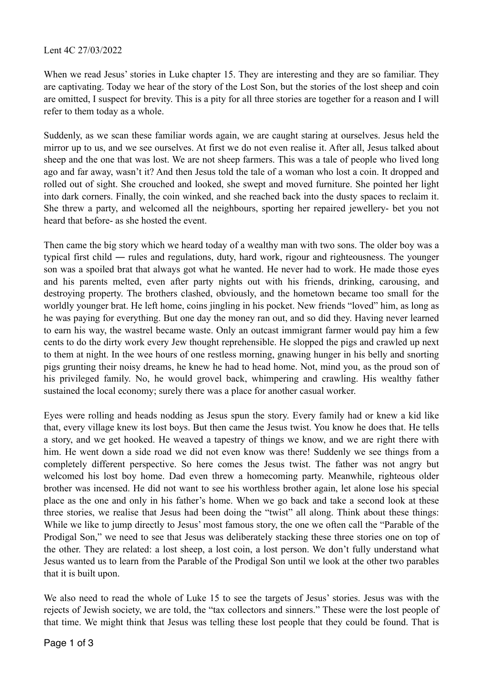## Lent 4C 27/03/2022

When we read Jesus' stories in Luke chapter 15. They are interesting and they are so familiar. They are captivating. Today we hear of the story of the Lost Son, but the stories of the lost sheep and coin are omitted, I suspect for brevity. This is a pity for all three stories are together for a reason and I will refer to them today as a whole.

Suddenly, as we scan these familiar words again, we are caught staring at ourselves. Jesus held the mirror up to us, and we see ourselves. At first we do not even realise it. After all, Jesus talked about sheep and the one that was lost. We are not sheep farmers. This was a tale of people who lived long ago and far away, wasn't it? And then Jesus told the tale of a woman who lost a coin. It dropped and rolled out of sight. She crouched and looked, she swept and moved furniture. She pointed her light into dark corners. Finally, the coin winked, and she reached back into the dusty spaces to reclaim it. She threw a party, and welcomed all the neighbours, sporting her repaired jewellery- bet you not heard that before- as she hosted the event.

Then came the big story which we heard today of a wealthy man with two sons. The older boy was a typical first child ― rules and regulations, duty, hard work, rigour and righteousness. The younger son was a spoiled brat that always got what he wanted. He never had to work. He made those eyes and his parents melted, even after party nights out with his friends, drinking, carousing, and destroying property. The brothers clashed, obviously, and the hometown became too small for the worldly younger brat. He left home, coins jingling in his pocket. New friends "loved" him, as long as he was paying for everything. But one day the money ran out, and so did they. Having never learned to earn his way, the wastrel became waste. Only an outcast immigrant farmer would pay him a few cents to do the dirty work every Jew thought reprehensible. He slopped the pigs and crawled up next to them at night. In the wee hours of one restless morning, gnawing hunger in his belly and snorting pigs grunting their noisy dreams, he knew he had to head home. Not, mind you, as the proud son of his privileged family. No, he would grovel back, whimpering and crawling. His wealthy father sustained the local economy; surely there was a place for another casual worker.

Eyes were rolling and heads nodding as Jesus spun the story. Every family had or knew a kid like that, every village knew its lost boys. But then came the Jesus twist. You know he does that. He tells a story, and we get hooked. He weaved a tapestry of things we know, and we are right there with him. He went down a side road we did not even know was there! Suddenly we see things from a completely different perspective. So here comes the Jesus twist. The father was not angry but welcomed his lost boy home. Dad even threw a homecoming party. Meanwhile, righteous older brother was incensed. He did not want to see his worthless brother again, let alone lose his special place as the one and only in his father's home. When we go back and take a second look at these three stories, we realise that Jesus had been doing the "twist" all along. Think about these things: While we like to jump directly to Jesus' most famous story, the one we often call the "Parable of the Prodigal Son," we need to see that Jesus was deliberately stacking these three stories one on top of the other. They are related: a lost sheep, a lost coin, a lost person. We don't fully understand what Jesus wanted us to learn from the Parable of the Prodigal Son until we look at the other two parables that it is built upon.

We also need to read the whole of Luke 15 to see the targets of Jesus' stories. Jesus was with the rejects of Jewish society, we are told, the "tax collectors and sinners." These were the lost people of that time. We might think that Jesus was telling these lost people that they could be found. That is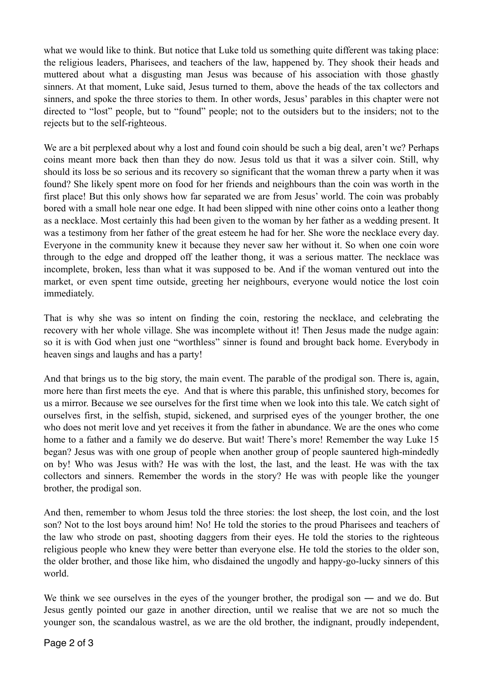what we would like to think. But notice that Luke told us something quite different was taking place: the religious leaders, Pharisees, and teachers of the law, happened by. They shook their heads and muttered about what a disgusting man Jesus was because of his association with those ghastly sinners. At that moment, Luke said, Jesus turned to them, above the heads of the tax collectors and sinners, and spoke the three stories to them. In other words, Jesus' parables in this chapter were not directed to "lost" people, but to "found" people; not to the outsiders but to the insiders; not to the rejects but to the self-righteous.

We are a bit perplexed about why a lost and found coin should be such a big deal, aren't we? Perhaps coins meant more back then than they do now. Jesus told us that it was a silver coin. Still, why should its loss be so serious and its recovery so significant that the woman threw a party when it was found? She likely spent more on food for her friends and neighbours than the coin was worth in the first place! But this only shows how far separated we are from Jesus' world. The coin was probably bored with a small hole near one edge. It had been slipped with nine other coins onto a leather thong as a necklace. Most certainly this had been given to the woman by her father as a wedding present. It was a testimony from her father of the great esteem he had for her. She wore the necklace every day. Everyone in the community knew it because they never saw her without it. So when one coin wore through to the edge and dropped off the leather thong, it was a serious matter. The necklace was incomplete, broken, less than what it was supposed to be. And if the woman ventured out into the market, or even spent time outside, greeting her neighbours, everyone would notice the lost coin immediately.

That is why she was so intent on finding the coin, restoring the necklace, and celebrating the recovery with her whole village. She was incomplete without it! Then Jesus made the nudge again: so it is with God when just one "worthless" sinner is found and brought back home. Everybody in heaven sings and laughs and has a party!

And that brings us to the big story, the main event. The parable of the prodigal son. There is, again, more here than first meets the eye. And that is where this parable, this unfinished story, becomes for us a mirror. Because we see ourselves for the first time when we look into this tale. We catch sight of ourselves first, in the selfish, stupid, sickened, and surprised eyes of the younger brother, the one who does not merit love and yet receives it from the father in abundance. We are the ones who come home to a father and a family we do deserve. But wait! There's more! Remember the way Luke 15 began? Jesus was with one group of people when another group of people sauntered high-mindedly on by! Who was Jesus with? He was with the lost, the last, and the least. He was with the tax collectors and sinners. Remember the words in the story? He was with people like the younger brother, the prodigal son.

And then, remember to whom Jesus told the three stories: the lost sheep, the lost coin, and the lost son? Not to the lost boys around him! No! He told the stories to the proud Pharisees and teachers of the law who strode on past, shooting daggers from their eyes. He told the stories to the righteous religious people who knew they were better than everyone else. He told the stories to the older son, the older brother, and those like him, who disdained the ungodly and happy-go-lucky sinners of this world.

We think we see ourselves in the eyes of the younger brother, the prodigal son — and we do. But Jesus gently pointed our gaze in another direction, until we realise that we are not so much the younger son, the scandalous wastrel, as we are the old brother, the indignant, proudly independent,